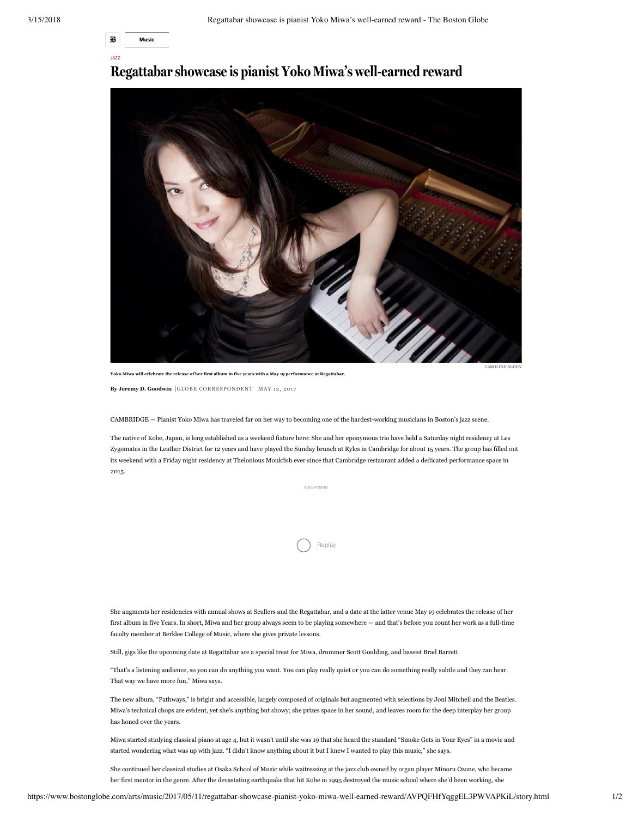

JAZZ

## **Regattabar showcase is pianist Yoko Miwa's wellearned reward**



AROLINE ALDEI

**By Jeremy D. Goodwin** GLOBE CORRESPONDENT MAY 12, 2017

**Yoko Miwa will celebrate the release of her first album in five years with a May 19 performance at Regattabar.**

CAMBRIDGE — Pianist Yoko Miwa has traveled far on her way to becoming one of the hardest-working musicians in Boston's jazz scene.

The native of Kobe, Japan, is long established as a weekend fixture here: She and her eponymous trio have held a Saturday night residency at Les Zygomates in the Leather District for 12 years and have played the Sunday brunch at Ryles in Cambridge for about 15 years. The group has filled out its weekend with a Friday night residency at Thelonious Monkfish ever since that Cambridge restaurant added a dedicated performance space in 2015.

ADVERTISING

**Replay** 

She augments her residencies with annual shows at Scullers and the Regattabar, and a date at the latter venue May 19 celebrates the release of her first album in five Years. In short, Miwa and her group always seem to be playing somewhere — and that's before you count her work as a full-time faculty member at Berklee College of Music, where she gives private lessons.

Still, gigs like the upcoming date at Regattabar are a special treat for Miwa, drummer Scott Goulding, and bassist Brad Barrett.

"That's a listening audience, so you can do anything you want. You can play really quiet or you can do something really subtle and they can hear. That way we have more fun," Miwa says.

The new album, "Pathways," is bright and accessible, largely composed of originals but augmented with selections by Joni Mitchell and the Beatles. Miwa's technical chops are evident, yet she's anything but showy; she prizes space in her sound, and leaves room for the deep interplay her group has honed over the years.

Miwa started studying classical piano at age 4, but it wasn't until she was 19 that she heard the standard "Smoke Gets in Your Eyes" in a movie and started wondering what was up with jazz. "I didn't know anything about it but I knew I wanted to play this music," she says.

She continued her classical studies at Osaka School of Music while waitressing at the jazz club owned by organ player Minoru Ozone, who became her first mentor in the genre. After the devastating earthquake that hit Kobe in 1995 destroyed the music school where she'd been working, she